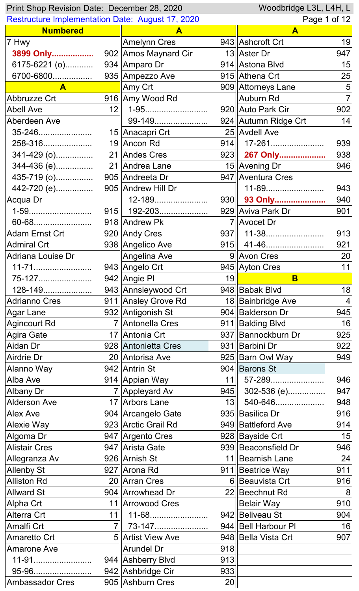| Woodbridge L3L, L4H, L<br>Print Shop Revision Date: December 28, 2020 |              |                      |                  |                      |     |
|-----------------------------------------------------------------------|--------------|----------------------|------------------|----------------------|-----|
| <b>Restructure Implementation Date: August 17, 2020</b>               |              |                      | Page 1 of 12     |                      |     |
| <b>Numbered</b>                                                       |              | A                    |                  | $\mathbf{A}$         |     |
| 7 Hwy                                                                 |              | <b>Amelynn Cres</b>  |                  | 943 Ashcroft Crt     | 19  |
| 3899 Only                                                             |              | 902 Amos Maynard Cir |                  | 13 Aster Dr          | 947 |
| 6175-6221 (o)                                                         |              | 934 Amparo Dr        |                  | 914 Astona Blvd      | 15  |
| 6700-6800                                                             |              | 935  Ampezzo Ave     |                  | 915 Athena Crt       | 25  |
| $\mathbf{A}$                                                          |              | Amy Crt              |                  | 909 Attorneys Lane   | 5   |
| Abbruzze Crt                                                          |              | 916 Amy Wood Rd      |                  | <b>Auburn Rd</b>     |     |
| <b>Abell Ave</b>                                                      |              | $12$   1-95          |                  | 920 Auto Park Cir    | 902 |
| Aberdeen Ave                                                          |              | 99-149               |                  | 924 Autumn Ridge Crt | 14  |
| 35-246                                                                |              | 15   Anacapri Crt    |                  | 25 Avdell Ave        |     |
| 258-316                                                               |              | 19 Ancon Rd          |                  | $914$   17-261       | 939 |
| 341-429 (o)                                                           |              | 21 Andes Cres        |                  | 923 <b>267 Only</b>  | 938 |
| 344-436 (e)                                                           |              | 21 Andrea Lane       |                  | 15   Avening Dr      | 946 |
| 435-719 (o)                                                           |              | 905 Andreeta Dr      |                  | 947   Aventura Cres  |     |
| 442-720 (e)                                                           |              | 905 Andrew Hill Dr   |                  | 11-89                | 943 |
| Acqua Dr                                                              |              | 12-189               |                  | 930    93 Only       | 940 |
|                                                                       |              | 915   192-203        |                  | 929 Aviva Park Dr    | 901 |
| 60-68                                                                 |              | 918 Andrew Pk        |                  | 7 Avocet Dr          |     |
| Adam Ernst Crt                                                        |              | 920 Andy Cres        |                  | $937$   11-38        | 913 |
| <b>Admiral Crt</b>                                                    |              | 938 Angelico Ave     |                  |                      | 921 |
| Adriana Louise Dr                                                     |              | Angelina Ave         |                  | 9 Avon Cres          | 20  |
|                                                                       |              | 943 Angelo Crt       |                  | 945 Ayton Cres       | 11  |
| 75-127                                                                |              | 942 Angie Pl         | 19               | B                    |     |
| 128-149                                                               |              | 943 Annsleywood Crt  |                  | 948 Babak Blvd       | 18  |
|                                                                       |              |                      |                  | 18 Bainbridge Ave    |     |
| <b>Adrianno Cres</b>                                                  |              | 911 Ansley Grove Rd  |                  |                      | 4   |
| <b>Agar Lane</b>                                                      |              | 932 Antigonish St    |                  | 904   Balderson Dr   | 945 |
| <b>Agincourt Rd</b>                                                   |              | 7 Antonella Cres     |                  | 911 Balding Blvd     | 16  |
| Agira Gate                                                            |              | 17 Antonia Crt       |                  | 937 Bannockburn Dr   | 925 |
| Aidan Dr                                                              |              | 928 Antonietta Cres  |                  | 931 Barbini Dr       | 922 |
| Airdrie Dr                                                            |              | 20 Antorisa Ave      |                  | 925 Barn Owl Way     | 949 |
| Alanno Way                                                            |              | 942 Antrin St        |                  | 904 Barons St        |     |
| Alba Ave                                                              |              | 914 Appian Way       | 11               | 57-289               | 946 |
| Albany Dr                                                             |              | 7 Appleyard Av       | 945              | 302-536 (e)          | 947 |
| <b>Alderson Ave</b>                                                   |              | 17 Arbors Lane       | 13 <sup>  </sup> | 540-646              | 948 |
| Alex Ave                                                              |              | 904 Arcangelo Gate   |                  | 935 Basilica Dr      | 916 |
| Alexie Way                                                            |              | 923 Arctic Grail Rd  |                  | 949 Battleford Ave   | 914 |
| Algoma Dr                                                             |              | 947 Argento Cres     |                  | 928 Bayside Crt      | 15  |
| <b>Alistair Cres</b>                                                  |              | 947 Arista Gate      |                  | 939 Beaconsfield Dr  | 946 |
| Allegranza Av                                                         |              | 926 Arnish St        |                  | 11   Beamish Lane    | 24  |
| <b>Allenby St</b>                                                     |              | 927 Arona Rd         |                  | 911 Beatrice Way     | 911 |
| <b>Alliston Rd</b>                                                    |              | 20 Arran Cres        |                  | 6 Beauvista Crt      | 916 |
| <b>Allward St</b>                                                     |              | 904 Arrowhead Dr     |                  | 22 Beechnut Rd       | 8   |
| Alpha Crt                                                             |              | 11   Arrowood Cres   |                  | <b>Belair Way</b>    | 910 |
| Alterra Crt                                                           | 11           | 11-68                |                  | 942 Beliveau St      | 904 |
| Amalfi Crt                                                            | $7\parallel$ | 73-147               |                  | 944 Bell Harbour PI  | 16  |
| Amaretto Crt                                                          |              | 5 Artist View Ave    |                  | 948 Bella Vista Crt  | 907 |
| <b>Amarone Ave</b>                                                    |              | <b>Arundel Dr</b>    | 918              |                      |     |
| 11-91                                                                 |              | 944   Ashberry Blvd  | 913              |                      |     |
| 95-96                                                                 |              | 942 Ashbridge Cir    | 933              |                      |     |
| <b>Ambassador Cres</b>                                                |              | 905 Ashburn Cres     | 20               |                      |     |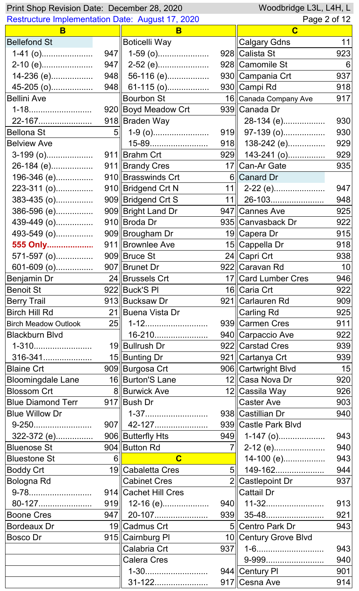| Woodbridge L3L, L4H, L<br>Print Shop Revision Date: December 28, 2020 |                |                         |              |                             |     |
|-----------------------------------------------------------------------|----------------|-------------------------|--------------|-----------------------------|-----|
| <b>Restructure Implementation Date: August 17, 2020</b>               |                |                         | Page 2 of 12 |                             |     |
| B                                                                     |                | B                       |              | $\mathbf C$                 |     |
| <b>Bellefond St</b>                                                   |                | <b>Boticelli Way</b>    |              | <b>Calgary Gdns</b>         | 11  |
| $1-41$ (o)                                                            |                | $947$    1-59 (o)       |              | 928 Calista St              | 923 |
| 2-10 (e)                                                              | 947            | 2-52 (e)                |              | 928 Camomile St             | 6   |
| 14-236 (e)                                                            |                | $948$ 56-116 (e)        |              | 930 Campania Crt            | 937 |
| 45-205 (o)                                                            |                | 948 61-115 (o)          |              | 930 Campi Rd                | 918 |
| <b>Bellini Ave</b>                                                    |                | <b>Bourbon St</b>       |              | 16 Canada Company Ave       | 917 |
| 1-18                                                                  |                | 920 Boyd Meadow Crt     |              | 939 Canada Dr               |     |
| 22-167                                                                |                | 918 Braden Way          |              | 28-134 (e)                  | 930 |
| <b>Bellona St</b>                                                     | 5 <sup>1</sup> | 1-9 (o)                 |              | $919$ 97-139 (o)            | 930 |
| <b>Belview Ave</b>                                                    |                | 15-89                   |              | 918 $\parallel$ 138-242 (e) | 929 |
| $3-199$ (o)                                                           |                | 911 Brahm Crt           |              | $929$ 143-241 (o)           | 929 |
| 26-184 (e)                                                            |                | 911 Brandy Cres         |              | 17 Can-Ar Gate              | 935 |
| 196-346 (e)                                                           |                | 910 Brasswinds Crt      |              | 6 Canard Dr                 |     |
| 223-311 (o)                                                           |                | 910 Bridgend Crt N      |              | $11$   2-22 (e)             | 947 |
| $383-435$ (o)                                                         |                | 909 Bridgend Crt S      |              | $11$   26-103               | 948 |
| 386-596 (e)                                                           |                | 909 Bright Land Dr      |              | 947 Cannes Ave              | 925 |
| 439-449 (o)                                                           |                | 910 Broda Dr            |              | 935 Canvasback Dr           | 922 |
| 493-549 (o)                                                           |                | 909 Brougham Dr         |              | 19  Capera Dr               | 915 |
| 555 Only                                                              |                | 911 Brownlee Ave        |              | 15 Cappella Dr              | 918 |
| 571-597 (o)                                                           |                | 909 Bruce St            |              | 24 Capri Crt                | 938 |
|                                                                       |                |                         |              | 922 Caravan Rd              | 10  |
| Benjamin Dr                                                           |                | 24 Brussels Crt         |              | 17 Card Lumber Cres         | 946 |
| <b>Benoit St</b>                                                      |                | 922 Buck'S PI           |              | 16 Caria Crt                | 922 |
| <b>Berry Trail</b>                                                    |                | 913 Bucksaw Dr          |              | 921 Carlauren Rd            | 909 |
| <b>Birch Hill Rd</b>                                                  |                | 21 Buena Vista Dr       |              | Carling Rd                  | 925 |
| <b>Birch Meadow Outlook</b>                                           | 25             | 1-12                    |              | 939 Carmen Cres             | 911 |
| <b>Blackburn Blvd</b>                                                 |                | 16-210                  |              | 940 Carpaccio Ave           | 922 |
| 1-310                                                                 |                | 19 Bullrush Dr          |              | 922 Carstad Cres            | 939 |
| 316-341                                                               |                | 15 Bunting Dr           |              | 921 Cartanya Crt            | 939 |
| <b>Blaine Crt</b>                                                     |                | 909 Burgosa Crt         |              | 906 Cartwright Blvd         | 15  |
| <b>Bloomingdale Lane</b>                                              |                | 16 Burton'S Lane        |              | 12 Casa Nova Dr             | 920 |
| <b>Blossom Crt</b>                                                    |                | 8 Burwick Ave           |              | 12∥Cassila Way              | 926 |
| <b>Blue Diamond Terr</b>                                              |                | 917 Bush Dr             |              | <b>Caster Ave</b>           | 903 |
| <b>Blue Willow Dr</b>                                                 |                | 1-37                    |              | 938 Castillian Dr           | 940 |
| 9-250                                                                 |                | 907    42-127           |              | 939 Castle Park Blvd        |     |
| 322-372 (e)                                                           |                | 906 Butterfly Hts       |              | $949$   1-147 (o)           | 943 |
| <b>Bluenose St</b>                                                    |                | 904 Button Rd           | 7∥           | 2-12 (e)                    | 940 |
| <b>Bluestone St</b>                                                   | 6 II           | $\overline{\mathbf{C}}$ |              | 14-100 (e)                  | 943 |
| <b>Boddy Crt</b>                                                      |                | 19 Cabaletta Cres       | 5            | 149-162                     | 944 |
| Bologna Rd                                                            |                | <b>Cabinet Cres</b>     |              | 2 Castlepoint Dr            | 937 |
|                                                                       |                | 914 Cachet Hill Cres    |              | Cattail Dr                  |     |
| 80-127                                                                |                | $919$    12-16 (e)      |              |                             | 913 |
| <b>Boone Cres</b>                                                     |                | 947   20-107            |              |                             | 921 |
| <b>Bordeaux Dr</b>                                                    |                | 19 Cadmus Crt           |              | 5∥Centro Park Dr            | 943 |
| Bosco Dr                                                              |                | 915 Cairnburg Pl        |              | 10 Century Grove Blvd       |     |
|                                                                       |                | Calabria Crt            | 937          | 1-6                         | 943 |
|                                                                       |                | <b>Calera Cres</b>      |              | 9-999                       | 940 |
|                                                                       |                | 1-30                    |              | 944 Century PI              | 901 |
|                                                                       |                | 31-122                  |              | 917 Cesna Ave               | 914 |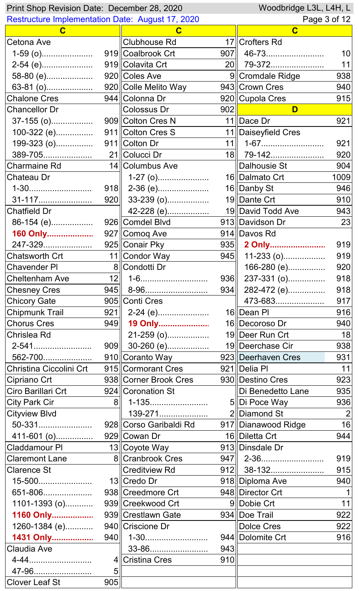| Woodbridge L3L, L4H, L<br>Print Shop Revision Date: December 28, 2020 |                 |                        |     |                       |                |
|-----------------------------------------------------------------------|-----------------|------------------------|-----|-----------------------|----------------|
| <b>Restructure Implementation Date: August 17, 2020</b>               |                 |                        |     | Page 3 of 12          |                |
| $\mathbf C$                                                           |                 | C                      |     | $\mathbf C$           |                |
| Cetona Ave                                                            |                 | <b>Clubhouse Rd</b>    |     | 17 Crofters Rd        |                |
| $1-59$ (o)                                                            |                 | 919 Coalbrook Crt      |     |                       | 10             |
| 2-54 (e)                                                              |                 | 919 Colavita Crt       |     | 20 79-372             | 11             |
|                                                                       |                 |                        |     | 9  Cromdale Ridge     | 938            |
| 63-81 (o)                                                             |                 | 920 Colle Melito Way   |     | 943 Crown Cres        | 940            |
| Chalone Cres                                                          |                 | 944 Colonna Dr         |     | 920 Cupola Cres       | 915            |
| <b>Chancellor Dr</b>                                                  |                 | Colossus Dr            | 902 | D                     |                |
| 37-155 (o)                                                            |                 | 909 Colton Cres N      |     | 11 Dace Dr            | 921            |
| 100-322 (e)                                                           |                 | 911 Colton Cres S      |     | 11   Daiseyfield Cres |                |
| 199-323 (o)                                                           |                 | 911 Colton Dr          | 11  | 1-67                  | 921            |
| 389-705                                                               |                 | 21 Colucci Dr          |     | 18 79-142             | 920            |
| <b>Charmaine Rd</b>                                                   |                 | 14 Columbus Ave        |     | Dalhousie St          | 904            |
| Chateau Dr                                                            |                 | $1-27$ (o)             |     | 16 Dalmato Crt        | 1009           |
| 1-30                                                                  |                 | $918$   2-36 (e)       |     | 16 Danby St           | 946            |
| 31-117                                                                |                 | 920 33-239 (o)         |     | 19 Dante Crt          | 910            |
| <b>Chatfield Dr</b>                                                   |                 | 42-228 (e)             |     | 19  David Todd Ave    | 943            |
| 86-154 (e)                                                            |                 | 926 Comdel Blvd        |     | 913  Davidson Dr      | 23             |
| 160 Only                                                              |                 | 927 Comoq Ave          |     | 914 Davos Rd          |                |
| 247-329                                                               |                 | 925 Conair Pky         |     | 935 2 Only            | 919            |
| Chatsworth Crt                                                        |                 | 11 Condor Way          | 945 | $11-233$ (o)          | 919            |
| <b>Chavender PI</b>                                                   |                 | 8 Condotti Dr          |     | 166-280 (e)           | 920            |
| <b>Cheltenham Ave</b>                                                 | 12              | 1-6                    | 936 | 237-331 (o)           | 918            |
| <b>Chesney Cres</b>                                                   |                 | 945   8-96             |     | $934$   282-472 (e)   | 918            |
| <b>Chicory Gate</b>                                                   |                 | 905 Conti Cres         |     | 473-683               | 917            |
| <b>Chipmunk Trail</b>                                                 | 921             | 2-24 (e)               |     | 16 Dean Pl            | 916            |
| <b>Chorus Cres</b>                                                    | 949             | 19 Only                |     | 16 Decoroso Dr        | 940            |
| Chrislea Rd                                                           |                 | 21-259 (o)             |     | 19 Deer Run Crt       | 18             |
| 2-541                                                                 |                 | 909 30-260 (e)         |     | 19 Deerchase Cir      | 938            |
| 562-700                                                               |                 | 910∥Coranto Way        |     | 923 Deerhaven Cres    | 931            |
| Christina Ciccolini Crt                                               |                 | 915 Cormorant Cres     |     | 921 Delia PI          | 11             |
| Cipriano Crt                                                          |                 | 938 Corner Brook Cres  |     | 930 Destino Cres      | 923            |
| Ciro Barillari Crt                                                    |                 | 924 Coronation St      |     | Di Benedetto Lane     | 935            |
| <b>City Park Cir</b>                                                  | 8 <sup>  </sup> | 1-135                  |     | 5 Di Poce Way         | 936            |
| <b>Cityview Blvd</b>                                                  |                 | 139-271                |     | 2 Diamond St          | $\overline{2}$ |
| 50-331                                                                |                 | 928∥Corso Garibaldi Rd |     | 917 Dianawood Ridge   | 16             |
| 411-601 (o)                                                           |                 | 929 Cowan Dr           |     | 16 Diletta Crt        | 944            |
| <b>Claddamour PI</b>                                                  |                 | 13 Coyote Way          |     | 913 Dinsdale Dr       |                |
| <b>Claremont Lane</b>                                                 |                 | 8 Cranbrook Cres       |     |                       | 919            |
| <b>Clarence St</b>                                                    |                 | <b>Creditview Rd</b>   |     | 912 38-132            | 915            |
| 15-500                                                                |                 | 13 Credo Dr            |     | 918 Diploma Ave       | 940            |
| 651-806                                                               |                 | 938 Creedmore Crt      |     | 948 Director Crt      | $\mathbf 1$    |
| 1101-1393 (o)                                                         |                 | 939 Creekwood Crt      |     | 9 Dobie Crt           | 11             |
| 1160 Only                                                             |                 | 939∥Crestlawn Gate     |     | 934 Doe Trail         | 922            |
| 1260-1384 (e)                                                         |                 | 940 Criscione Dr       |     | <b>Dolce Cres</b>     | 922            |
| 1431 Only                                                             | 940             | 1-30                   |     | 944 Dolomite Crt      | 916            |
| Claudia Ave                                                           |                 | 33-86                  | 943 |                       |                |
|                                                                       | $\overline{4}$  | <b>Cristina Cres</b>   | 910 |                       |                |
| 47-96                                                                 | 5               |                        |     |                       |                |
| <b>Clover Leaf St</b>                                                 | 905             |                        |     |                       |                |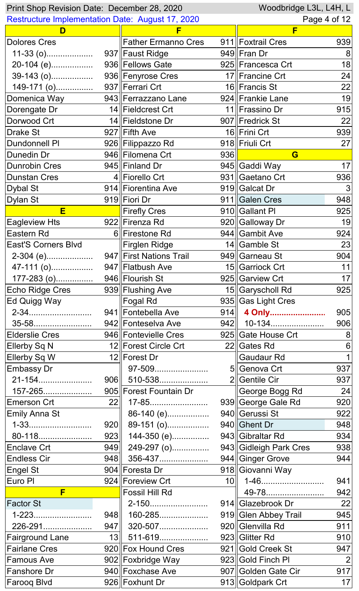| Woodbridge L3L, L4H, L<br>Print Shop Revision Date: December 28, 2020 |                  |                            |                 |                        |     |
|-----------------------------------------------------------------------|------------------|----------------------------|-----------------|------------------------|-----|
| <b>Restructure Implementation Date: August 17, 2020</b>               |                  |                            | Page 4 of 12    |                        |     |
| D                                                                     |                  | F                          |                 | F                      |     |
| <b>Dolores Cres</b>                                                   |                  | <b>Father Ermanno Cres</b> |                 | 911 Foxtrail Cres      | 939 |
| $11-33$ (o)                                                           |                  | 937 Faust Ridge            |                 | 949 Fran Dr            | 8   |
| 20-104 (e)                                                            |                  | 936 Fellows Gate           |                 | 925 Francesca Crt      | 18  |
| 39-143 (o)                                                            |                  | 936 Fenyrose Cres          |                 | 17 Francine Crt        | 24  |
|                                                                       |                  | 937 Ferrari Crt            |                 | 16 Francis St          | 22  |
| Domenica Way                                                          |                  | 943 Ferrazzano Lane        |                 | 924 Frankie Lane       | 19  |
| Dorengate Dr                                                          |                  | 14 Fieldcrest Crt          |                 | 11  Frassino Dr        | 915 |
| Dorwood Crt                                                           |                  | 14 Fieldstone Dr           |                 | 907 Fredrick St        | 22  |
| Drake St                                                              |                  | 927 Fifth Ave              |                 | 16 Frini Crt           | 939 |
| <b>Dundonnell PI</b>                                                  |                  | 926 Filippazzo Rd          |                 | 918 Friuli Crt         | 27  |
| Dunedin Dr                                                            |                  | 946 Filomena Crt           | 936             | G                      |     |
| <b>Dunrobin Cres</b>                                                  |                  | 945 Finland Dr             |                 | 945 Gaddi Way          | 17  |
| <b>Dunstan Cres</b>                                                   |                  | 4 Fiorello Crt             |                 | 931 Gaetano Crt        | 936 |
| <b>Dybal St</b>                                                       |                  | 914 Fiorentina Ave         |                 | 919 Galcat Dr          | 3   |
| Dylan St                                                              |                  | 919 Fiori Dr               |                 | 911 Galen Cres         | 948 |
| E                                                                     |                  | <b>Firefly Cres</b>        |                 | 910 Gallant PI         | 925 |
| <b>Eagleview Hts</b>                                                  |                  | 922 Firenza Rd             |                 | 920 Galloway Dr        | 19  |
| Eastern Rd                                                            |                  | 6 Firestone Rd             |                 | 944 Gambit Ave         | 924 |
| <b>East'S Corners Blvd</b>                                            |                  | Firglen Ridge              |                 | 14 Gamble St           | 23  |
| 2-304 (e)                                                             |                  | 947 First Nations Trail    |                 | 949 Garneau St         | 904 |
| 47-111 (o)                                                            |                  | 947 Flatbush Ave           |                 | 15 Garriock Crt        | 11  |
|                                                                       |                  |                            |                 | 925 Garview Crt        | 17  |
| Echo Ridge Cres                                                       |                  | 939 Flushing Ave           |                 | 15 Garyscholl Rd       | 925 |
| Ed Quigg Way                                                          |                  | Fogal Rd                   |                 | 935 Gas Light Cres     |     |
| 2-34                                                                  |                  | 941 Fontebella Ave         |                 | 914   4 Only           | 905 |
| 35-58                                                                 |                  | 942 Fonteselva Ave         |                 | 942   10-134           | 906 |
| <b>Elderslie Cres</b>                                                 |                  | 946 Fontevielle Cres       |                 | 925 Gate House Crt     | 8   |
| Ellerby Sq N                                                          |                  | 12 Forest Circle Crt       |                 | 22 Gates Rd            | 6   |
| Ellerby Sq W                                                          |                  | 12 Forest Dr               |                 | <b>Gaudaur Rd</b>      |     |
| <b>Embassy Dr</b>                                                     |                  | 97-509                     |                 | 5 Genova Crt           | 937 |
| 21-154                                                                |                  | $906$ 510-538              |                 | 2 Gentile Cir          | 937 |
| 157-265                                                               |                  | 905 Forest Fountain Dr     |                 | George Bogg Rd         | 24  |
| <b>Emerson Crt</b>                                                    | 22               | 17-85                      |                 | 939 George Gale Rd     | 920 |
| <b>Emily Anna St</b>                                                  |                  | 86-140 (e)                 |                 | 940 Gerussi St         | 922 |
| 1-33                                                                  | 920              | 89-151 (o)                 |                 | 940 Ghent Dr           | 948 |
| 80-118                                                                | 923              | 144-350 (e)                |                 | 943 Gibraltar Rd       | 934 |
| <b>Enclave Crt</b>                                                    | 949              | 249-297 (o)                |                 | 943 Gidleigh Park Cres | 938 |
| <b>Endless Cir</b>                                                    |                  | 948 356-437                |                 | 944 Ginger Grove       | 944 |
| <b>Engel St</b>                                                       |                  | 904∥Foresta Dr             |                 | 918 Giovanni Way       |     |
| Euro Pl                                                               |                  | 924 Foreview Crt           | 10 <sup>1</sup> |                        | 941 |
| F                                                                     |                  | <b>Fossil Hill Rd</b>      |                 | 49-78                  | 942 |
| <b>Factor St</b>                                                      |                  | 2-150                      |                 | 914 Glazebrook Dr      | 22  |
| 1-223                                                                 | 948              | 160-285                    |                 | 919 Glen Abbey Trail   | 945 |
| 226-291                                                               |                  | 947 320-507                |                 | 920 Glenvilla Rd       | 911 |
| <b>Fairground Lane</b>                                                | 13 <sup>  </sup> | 511-619                    |                 | 923 Glitter Rd         | 910 |
| <b>Fairlane Cres</b>                                                  |                  | 920 Fox Hound Cres         |                 | 921 Gold Creek St      | 947 |
| <b>Famous Ave</b>                                                     |                  | 902 Foxbridge Way          |                 | 923 Gold Finch PI      | 2   |
| Fanshore Dr                                                           |                  | 940 Foxchase Ave           |                 | 907 Golden Gate Cir    | 917 |
| Farooq Blvd                                                           |                  | 926 Foxhunt Dr             |                 | 913 Goldpark Crt       | 17  |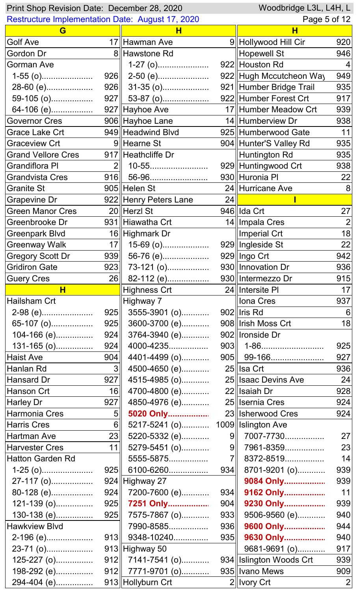| Woodbridge L3L, L4H, L<br>Print Shop Revision Date: December 28, 2020 |                 |                                     |                |                         |                |
|-----------------------------------------------------------------------|-----------------|-------------------------------------|----------------|-------------------------|----------------|
| <b>Restructure Implementation Date: August 17, 2020</b>               |                 |                                     |                | Page 5 of 12            |                |
| G                                                                     |                 | н                                   |                | н                       |                |
| Golf Ave                                                              |                 | 17 Hawman Ave                       |                | 9  Hollywood Hill Cir   | 920            |
| Gordon Dr                                                             |                 | 8 Hawstone Rd                       |                | <b>Hopewell St</b>      | 946            |
| <b>Gorman Ave</b>                                                     |                 | $1-27$ (o)                          |                | 922 Houston Rd          | 4              |
| $1-55$ (o)                                                            |                 |                                     |                | 922 Hugh Mccutcheon Way | 949            |
| 28-60 (e)                                                             |                 | $926$ 31-35 (o)                     |                | 921 Humber Bridge Trail | 935            |
| 59-105 (o)                                                            |                 | $927$ 53-87 (o)                     |                | 922 Humber Forest Crt   | 917            |
| 64-106 (e)                                                            |                 | 927 Hayhoe Ave                      |                | 17 Humber Meadow Crt    | 939            |
| Governor Cres                                                         |                 | 906 Hayhoe Lane                     |                | 14 Humberview Dr        | 938            |
| Grace Lake Crt                                                        |                 | 949 Headwind Blvd                   |                | 925 Humberwood Gate     | 11             |
| <b>Graceview Crt</b>                                                  |                 | 9∥Hearne St                         |                | 904 Hunter'S Valley Rd  | 935            |
| <b>Grand Vellore Cres</b>                                             |                 | 917 Heathcliffe Dr                  |                | Huntington Rd           | 935            |
| <b>Grandiflora PI</b>                                                 | 2 <sup>1</sup>  | 10-55                               |                | 929 Huntingwood Crt     | 938            |
| <b>Grandvista Cres</b>                                                |                 | 916   56-96                         |                | 930 Huronia Pl          | 22             |
| <b>Granite St</b>                                                     |                 | 905 Helen St                        |                | 24 Hurricane Ave        | 8              |
| <b>Grapevine Dr</b>                                                   |                 | 922 Henry Peters Lane               | 24             |                         |                |
| <b>Green Manor Cres</b>                                               |                 | 20 Herzl St                         |                | 946 IIda Crt            | 27             |
| Greenbrooke Dr                                                        |                 | 931 Hiawatha Crt                    |                | 14   Impala Cres        | $\overline{2}$ |
| <b>Greenpark Blvd</b>                                                 |                 | 16 Highmark Dr                      |                | Imperial Crt            | 18             |
| <b>Greenway Walk</b>                                                  | 17 <sub>1</sub> | $15-69$ (o)                         |                | 929 Ingleside St        | 22             |
| <b>Gregory Scott Dr</b>                                               | 939             | 56-76 (e)                           |                | 929   Ingo Crt          | 942            |
| Gridiron Gate                                                         |                 | $\overline{923}$ 73-121 (0)         |                | 930   Innovation Dr     | 936            |
| <b>Guery Cres</b>                                                     |                 |                                     |                |                         | 915            |
| H                                                                     |                 | <b>Highness Crt</b>                 |                | 24 Intersite PI         | 17             |
| Hailsham Crt                                                          |                 | Highway 7                           |                | ∥Iona Cres              | 937            |
| 2-98 (e)                                                              | 925             | 3555-3901 (o)                       |                | $902$   Iris Rd         | 6              |
|                                                                       | 925             | 3600-3700 (e)                       |                | 908 Irish Moss Crt      | 18             |
| 65-107 (o)                                                            | 924             |                                     |                | 902   Ironside Dr       |                |
| 104-166 (e)                                                           |                 | 3764-3940 (e)                       |                |                         |                |
| $131 - 165$ (o)                                                       | 924             | 4000-4235                           |                |                         | 925            |
| <b>Haist Ave</b>                                                      | 904             | 4401-4499 (o)                       |                | $905$    99-166         | 927            |
| Hanlan Rd                                                             | 3 <sup>1</sup>  | 4500-4650 (e)                       |                | 25 Isa Crt              | 936            |
| Hansard Dr                                                            | 927             | 4515-4985 (o)                       |                | 25 Isaac Devins Ave     | 24             |
| Hanson Crt                                                            | 16              | 4700-4800 (e)                       |                | 22 Isaiah Dr            | 928            |
| Harley Dr                                                             | 927             | 4850-4976 (e)                       |                | 25    Isernia Cres      | 924            |
| Harmonia Cres                                                         | 5 <sub>1</sub>  | 5020 Only                           |                | 23 Isherwood Cres       | 924            |
| Harris Cres                                                           | $6\parallel$    | 5217-5241 (o) 1009    Islington Ave |                |                         |                |
| <b>Hartman Ave</b>                                                    | 23              | 5220-5332 (e)                       | 9              | 7007-7730               | 27             |
| <b>Harvester Cres</b>                                                 | 11              | 5279-5451 (o)                       | 9              | 7961-8359               | 23             |
| <b>Hatton Garden Rd</b>                                               |                 | 5555-5875                           | 7 <sup>1</sup> | 8372-8519               | 14             |
| $1-25$ (o)                                                            |                 | 925    6100-6260                    | 934            | 8701-9201 (o)           | 939            |
| 27-117 (o)                                                            |                 | 924 Highway 27                      |                | 9084 Only               | 939            |
| 80-128 (e)                                                            |                 | $924$ 7200-7600 (e)                 | 934            | 9162 Only               | 11             |
| $121-139(0)$                                                          | 925             | 7251 Only                           | 904            | 9230 Only               | 939            |
| 130-138 (e)                                                           | 925             | 7575-7867 (o)                       | 933            | 9506-9560 (e)           | 940            |
| <b>Hawkview Blvd</b>                                                  |                 | 7990-8585                           | 936            | 9600 Only               | 944            |
| 2-196 (e)                                                             |                 | $913$ 9348-10240                    | 935            | 9630 Only               | 940            |
| 23-71 (o)                                                             |                 | $913$  Highway 50                   |                | 9681-9691 (o)           | 917            |
| 125-227 (o)                                                           |                 | $912$   7141-7541 (o)               |                | 934 Islington Woods Crt | 939            |
| 198-292 (e)                                                           | 912             | 7771-9701 (o)                       |                | 935   Ivano Mews        | 909            |
| 294-404 (e)                                                           |                 | 913 Hollyburn Crt                   |                | 2  Ivory Crt            | $\overline{2}$ |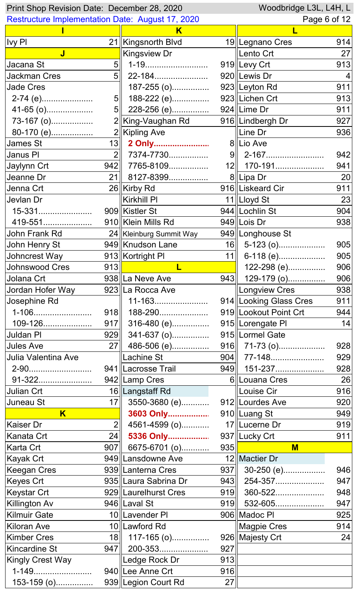| Woodbridge L3L, L4H, L<br>Print Shop Revision Date: December 28, 2020 |                  |                                                |     |                        |     |
|-----------------------------------------------------------------------|------------------|------------------------------------------------|-----|------------------------|-----|
| <b>Restructure Implementation Date: August 17, 2020</b>               |                  |                                                |     | Page 6 of 12           |     |
|                                                                       |                  | K                                              |     |                        |     |
| <b>Ivy PI</b>                                                         |                  | 21 Kingsnorth Blvd                             |     | 19   Legnano Cres      | 914 |
| J                                                                     |                  | <b>Kingsview Dr</b>                            |     | ∥Lento Crt             | 27  |
| Jacana St                                                             | 5 <sup>1</sup>   |                                                |     | 919 Levy Crt           | 913 |
| <b>Jackman Cres</b>                                                   |                  | $5$   22-184                                   |     | 920 Lewis Dr           | 4   |
| <b>Jade Cres</b>                                                      |                  | $187 - 255$ (o)                                |     | 923 Leyton Rd          | 911 |
| 2-74 (e)                                                              | 5 <sub>1</sub>   | 188-222 (e)                                    |     | 923 Lichen Crt         | 913 |
| 41-65 (o)                                                             |                  | $5$   228-256 (e)                              |     | $924$  Lime Dr         | 911 |
| 73-167 (o)                                                            |                  | 2∥King-Vaughan Rd                              |     | 916   Lindbergh Dr     | 927 |
| 80-170 (e)                                                            |                  | 2   Kipling Ave                                |     | $\parallel$ Line Dr    | 936 |
| <b>James St</b>                                                       | 13               | 2 Only                                         |     | 8   Lio Ave            |     |
| Janus PI                                                              | $\overline{2}$   | 7374-7730                                      |     |                        | 942 |
| Jaylynn Crt                                                           |                  | 942 7765-8109                                  |     | 12   170-191           | 941 |
| Jeanne Dr                                                             | 21               | 8127-8399                                      |     | 8 Lipa Dr              | 20  |
| Jenna Crt                                                             |                  | 26 Kirby Rd                                    |     | 916 Liskeard Cir       | 911 |
| Jevlan Dr                                                             |                  | Kirkhill Pl                                    |     | 11   Lloyd St          | 23  |
| 15-331                                                                |                  | 909 Kistler St                                 |     | 944   Lochlin St       | 904 |
| 419-551                                                               |                  | 910 Klein Mills Rd                             |     | $949$  Lois Dr         | 938 |
| John Frank Rd                                                         |                  | 24   Kleinburg Summit Way                      |     | 949   Longhouse St     |     |
| John Henry St                                                         |                  | 949 Knudson Lane                               |     | $16$ 5-123 (o)         | 905 |
| Johncrest Way                                                         |                  | 913 Kortright PI                               | 11  | 6-118 (e)              | 905 |
| Johnswood Cres                                                        |                  | $\overline{913}$ $\overline{ }$<br>$\mathsf L$ |     | 122-298 (e)            | 906 |
| Jolana Crt                                                            |                  | 938 La Neve Ave                                |     | 943 129-179 (o)        | 906 |
| Jordan Hofer Way                                                      |                  | 923 La Rocca Ave                               |     | <b>Longview Cres</b>   | 938 |
| Josephine Rd                                                          |                  | 11-163                                         |     | 914 Looking Glass Cres | 911 |
| 1-106                                                                 | 918              | 188-290                                        |     | 919 Lookout Point Crt  | 944 |
| 109-126                                                               | 917              | 316-480 (e)                                    |     | 915 Lorengate PI       | 14  |
| <b>Juldan PI</b>                                                      |                  | 929 341-637 (o)                                |     | 915   Lormel Gate      |     |
| <b>Jules Ave</b>                                                      |                  | 27 486-506 (e)                                 |     | $916$ 71-73 (o)        | 928 |
| Julia Valentina Ave                                                   |                  | ∥Lachine St                                    |     | $904$ 77-148           | 929 |
| 2-90                                                                  |                  | 941 Lacrosse Trail                             |     | $949$   151-237        | 928 |
| 91-322                                                                |                  | 942 Lamp Cres                                  |     | 6 Louana Cres          | 26  |
| Julian Crt                                                            |                  | 16 Langstaff Rd                                |     | Louise Cir             | 916 |
| Juneau St                                                             | 17 <sup>  </sup> | 3550-3680 (e)                                  |     | 912 Lourdes Ave        | 920 |
| $\overline{\mathsf{K}}$                                               |                  | 3603 Only                                      |     | 910 Luang St           | 949 |
| <b>Kaiser Dr</b>                                                      | $\overline{2}$   | 4561-4599 (o)                                  |     | 17 Lucerne Dr          | 919 |
| Kanata Crt                                                            |                  | 24 5336 Only                                   |     | 937 Lucky Crt          | 911 |
| Karta Crt                                                             |                  | 907 6675-6701 (o)                              | 935 | $M$                    |     |
| Kayak Crt                                                             |                  | 949∥Lansdowne Ave                              |     | 12 Mactier Dr          |     |
| <b>Keegan Cres</b>                                                    |                  | 939∥Lanterna Cres                              |     | 937 30-250 (e)         | 946 |
| Keyes Crt                                                             |                  | 935 Laura Sabrina Dr                           |     | $943$   254-357        | 947 |
| Keystar Crt                                                           |                  | 929   Laurelhurst Cres                         | 919 | 360-522                | 948 |
| Killington Av                                                         |                  | 946 Laval St                                   |     | $919$ 532-605          | 947 |
| <b>Kilmuir Gate</b>                                                   |                  | 10 Lavender PI                                 |     | 906 Madoc PI           | 925 |
| <b>Kiloran Ave</b>                                                    |                  | 10 Lawford Rd                                  |     | <b>Magpie Cres</b>     | 914 |
| <b>Kimber Cres</b>                                                    | 18 <sup>1</sup>  | $117 - 165$ (o)                                |     | 926 Majesty Crt        | 24  |
| <b>Kincardine St</b>                                                  | 947              | 200-353                                        | 927 |                        |     |
| <b>Kingly Crest Way</b>                                               |                  | Ledge Rock Dr                                  | 913 |                        |     |
| 1-149                                                                 |                  | 940   Lee Anne Crt                             | 916 |                        |     |
| 153-159 (o)                                                           |                  | 939 Legion Court Rd                            | 27  |                        |     |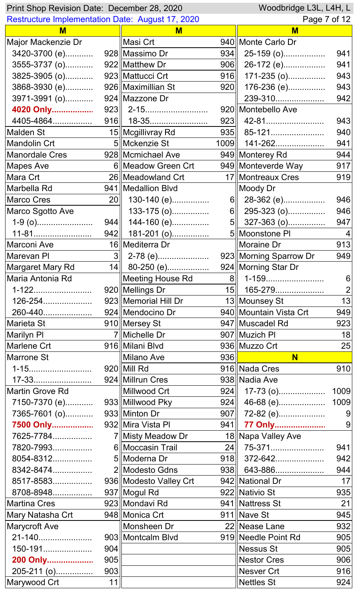|                                                         |     | Woodbridge L3L, L4H, L<br>Print Shop Revision Date: December 28, 2020 |      |                                       |                |  |  |
|---------------------------------------------------------|-----|-----------------------------------------------------------------------|------|---------------------------------------|----------------|--|--|
| <b>Restructure Implementation Date: August 17, 2020</b> |     |                                                                       |      | Page 7 of 12                          |                |  |  |
| M                                                       |     | M                                                                     |      | M                                     |                |  |  |
| Major Mackenzie Dr                                      |     | Masi Crt                                                              |      | 940   Monte Carlo Dr                  |                |  |  |
| 3420-3700 (e)                                           |     | 928 Massimo Dr                                                        | 934  | 25-159 (o)                            | 941            |  |  |
| 3555-3737 (o)                                           |     | 922 Matthew Dr                                                        | 906  | 26-172 (e)                            | 941            |  |  |
| 3825-3905 (o)                                           |     | 923 Mattucci Crt                                                      | 916  | $171-235$ (o)                         | 943            |  |  |
| 3868-3930 (e)                                           |     | 926   Maximillian St                                                  | 920  | 176-236 (e)                           | 943            |  |  |
| 3971-3991 (o)                                           |     | 924 Mazzone Dr                                                        |      | 239-310                               | 942            |  |  |
| 4020 Only                                               |     |                                                                       |      | 920   Montebello Ave                  |                |  |  |
| 4405-4864                                               |     |                                                                       |      |                                       | 943            |  |  |
| <b>Malden St</b>                                        |     | 15 Mcgillivray Rd                                                     |      | 935   85-121                          | 940            |  |  |
| <b>Mandolin Crt</b>                                     |     | 5 Mckenzie St                                                         | 1009 | 141-262                               | 941            |  |  |
| <b>Manordale Cres</b>                                   |     | 928 Mcmichael Ave                                                     |      | 949 Monterey Rd                       | 944            |  |  |
| <b>Mapes Ave</b>                                        |     | 6 Meadow Green Crt                                                    |      | 949 Monteverde Way                    | 917            |  |  |
| Mara Crt                                                |     | 26   Meadowland Crt                                                   |      | 17   Montreaux Cres                   | 919            |  |  |
| Marbella Rd                                             |     | 941   Medallion Blvd                                                  |      | Moody Dr                              |                |  |  |
| <b>Marco Cres</b>                                       | 20  | 130-140 (e)                                                           |      | 6 28-362 (e)                          | 946            |  |  |
| Marco Sgotto Ave                                        |     | 133-175 (o)                                                           |      | $6\ $ 295-323 (o)                     | 946            |  |  |
|                                                         | 944 | 144-160 (e)                                                           |      | $5\ $ 327-363 (o)                     | 947            |  |  |
| 11-81                                                   | 942 | 181-201 (o)                                                           |      | 5 Moonstone PI                        |                |  |  |
| Marconi Ave                                             |     | 16 Mediterra Dr                                                       |      | Moraine Dr                            | 913            |  |  |
| Marevan PI                                              | 3   | 2-78 (e)                                                              |      | 923 Morning Sparrow Dr                | 949            |  |  |
| Margaret Mary Rd                                        |     | 14 80-250 (e)                                                         |      | 924 Morning Star Dr                   |                |  |  |
| Maria Antonia Rd                                        |     | Meeting House Rd                                                      |      | 8 1-159                               | 6              |  |  |
| 1-122                                                   |     | 920 Mellings Dr                                                       |      | 15    165-279                         | $\overline{2}$ |  |  |
| 126-254                                                 |     | 923   Memorial Hill Dr                                                |      | 13 Mounsey St                         | 13             |  |  |
| 260-440                                                 |     | 924   Mendocino Dr                                                    |      | 940   Mountain Vista Crt              | 949            |  |  |
| Marieta St <sub>200</sub>                               |     | 910 Mersey St                                                         |      | 947   Muscadel Rd                     | 923            |  |  |
| <b>Marilyn PI</b>                                       |     | 7 Michelle Dr                                                         |      | 907   Muzich Pl                       | 18             |  |  |
| Marlene Crt                                             |     | 916 Milani Blvd                                                       |      | 936 Muzzo Crt                         | 25             |  |  |
| Marrone St                                              |     | Milano Ave                                                            |      | 936 $\vert$ . The set of $\vert$<br>N |                |  |  |
| 1-15                                                    |     | $920$ Mill Rd                                                         |      | 916 Nada Cres                         | 910            |  |  |
| 17-33                                                   |     | 924 Millrun Cres                                                      |      | 938 Nadia Ave                         |                |  |  |
| Martin Grove Rd                                         |     | Millwood Crt                                                          |      | $924$   17-73 (o)                     | 1009           |  |  |
|                                                         |     |                                                                       |      | $924$ 46-68 (e)                       | 1009           |  |  |
| 7365-7601 (o)                                           |     | 933 Minton Dr                                                         |      | 907   $72-82$ (e)                     | 9              |  |  |
| 7500 Only                                               |     | 932 Mira Vista Pl                                                     |      | 941 77 Only                           | 9              |  |  |
| 7625-7784                                               |     | 7   Misty Meadow Dr                                                   |      | 18 Napa Valley Ave                    |                |  |  |
| 7820-7993                                               |     | 6 Moccasin Trail                                                      |      | 24 75-371                             | 941            |  |  |
| 8054-8312                                               |     | 5  Moderna Dr                                                         |      | $918$ 372-642                         | 942            |  |  |
| 8342-8474                                               |     | 2 Modesto Gdns                                                        |      | $938$ 643-886                         | 944            |  |  |
| 8517-8583                                               |     | 936 Modesto Valley Crt                                                |      | 942 National Dr                       | 17             |  |  |
| 8708-8948                                               |     | 937   Mogul Rd                                                        |      | 922 Nativio St                        | 935            |  |  |
| <b>Martina Cres</b>                                     |     | 923 Mondavi Rd                                                        |      | 941 Nattress St                       | 21             |  |  |
| Mary Natasha Crt                                        |     | 948 Monica Crt                                                        |      | $911$   Nave St                       | 945            |  |  |
| <b>Marycroft Ave</b>                                    |     | Monsheen Dr                                                           |      | 22 Nease Lane                         | 932            |  |  |
| 21-140                                                  |     | 903 Montcalm Blvd                                                     |      | 919 Needle Point Rd                   | 905            |  |  |
| 150-191                                                 | 904 |                                                                       |      | Nessus St                             | 905            |  |  |
| 200 Only                                                | 905 |                                                                       |      | <b>Nestor Cres</b>                    | 906            |  |  |
| 205-211 (o)                                             | 903 |                                                                       |      | Nesver Crt                            | 916            |  |  |
| Marywood Crt                                            | 11  |                                                                       |      | Nettles St                            | 924            |  |  |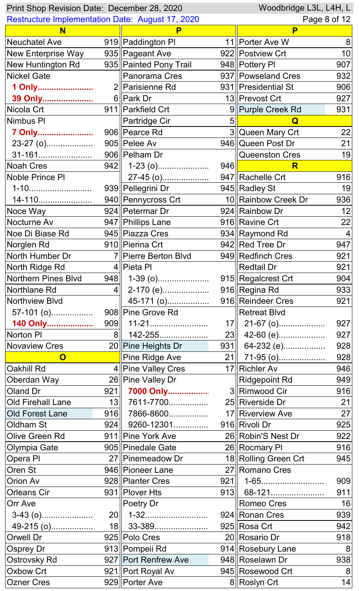| Print Shop Revision Date: December 28, 2020             |                 |                        |     | Woodbridge L3L, L4H, L |     |
|---------------------------------------------------------|-----------------|------------------------|-----|------------------------|-----|
| <b>Restructure Implementation Date: August 17, 2020</b> |                 |                        |     | Page 8 of 12           |     |
| N                                                       |                 |                        |     | P                      |     |
| <b>Neuchatel Ave</b>                                    |                 | 919 Paddington PI      |     | 11   Porter Ave W      | 8   |
| New Enterprise Way                                      |                 | 935 Pageant Ave        |     | 922 Postview Crt       | 10  |
| New Huntington Rd                                       |                 | 935 Painted Pony Trail |     | 948 Pottery PI         | 907 |
| <b>Nickel Gate</b>                                      |                 | Panorama Cres          |     | 937   Powseland Cres   | 932 |
| 1 Only                                                  |                 | 2  Parisienne Rd       |     | 931   Presidential St  | 906 |
| 39 Only                                                 |                 | 6 Park Dr              |     | 13  Prevost Crt        | 927 |
| Nicola Crt                                              |                 | 911   Parkfield Crt    |     | 9  Purple Creek Rd     | 931 |
| Nimbus PI                                               |                 | Partridge Cir          | 5   | Q                      |     |
| 7 Only                                                  |                 | 906 Pearce Rd          |     | 3 Queen Mary Crt       | 22  |
| 23-27 (o)                                               |                 | 905 Pelee Av           |     | 946 Queen Post Dr      | 21  |
| 31-161                                                  |                 | 906 Pelham Dr          |     | Queenston Cres         | 19  |
| <b>Noah Cres</b>                                        |                 | $942$   1-23 (o)       | 946 | R                      |     |
| <b>Noble Prince PI</b>                                  |                 | 27-45 (o)              |     | 947 Rachelle Crt       | 916 |
| 1-10                                                    |                 | 939 Pellegrini Dr      |     | 945 Radley St          | 19  |
| 14-110                                                  |                 | 940 Pennycross Crt     |     | 10 Rainbow Creek Dr    | 936 |
| Noce Way                                                |                 | 924 Petermar Dr        |     | 924 Rainbow Dr         | 12  |
| Nocturne Av                                             |                 | 947   Phillips Lane    |     | 916 Ravine Crt         | 22  |
| Noe Di Biase Rd                                         |                 | 945 Piazza Cres        |     | 934 Raymond Rd         | 4   |
| Norglen Rd                                              |                 | 910 Pierina Crt        |     | 942 Red Tree Dr        | 947 |
| North Humber Dr                                         |                 | 7 Pierre Berton Blvd   |     | 949 Redfinch Cres      | 921 |
| North Ridge Rd                                          |                 | 4   Pieta PI           |     | ∥Redtail Dr            | 921 |
| Northern Pines Blvd                                     | 948             |                        |     | 915 Regalcrest Crt     | 904 |
| Northlane Rd                                            | 4 <sup>  </sup> | 2-170 (e)              |     | 916 Regina Rd          | 933 |
| Northview Blvd                                          |                 | 45-171 (o)             |     | 916 Reindeer Cres      | 921 |
| $57-101$ (o)                                            |                 | 908 Pine Grove Rd      |     | Retreat Blvd           |     |
| 140 Only                                                |                 |                        |     | $17$   21-67 (o)       | 927 |
| Norton PI                                               | $8\parallel$    | 142-255                |     | $23$ 42-60 (e)         | 927 |
| <b>Novaview Cres</b>                                    |                 | 20 Pine Heights Dr     |     | 931 64-232 (e)         | 928 |
| $\mathbf{O}$                                            |                 | Pine Ridge Ave         |     | 21  71-95 (o)          | 928 |
| Oakhill Rd                                              |                 | 4 Pine Valley Cres     |     | 17   Richler Av        | 946 |
| Oberdan Way                                             |                 | 26 Pine Valley Dr      |     | $\ $ Ridgepoint Rd     | 949 |
| Oland Dr                                                | 921             | 7000 Only              |     | 3 Rimwood Cir          | 916 |
| <b>Old Firehall Lane</b>                                | 13              | 7611-7700              |     | 25 Riverside Dr        | 21  |
|                                                         |                 | 916 7866-8600          |     | 17 Riverview Ave       | 27  |
| <b>Old Forest Lane</b><br>Oldham St                     |                 | $924$   9260-12301     |     | 916 Rivoli Dr          | 925 |
|                                                         |                 |                        |     |                        |     |
| Olive Green Rd                                          |                 | 911   Pine York Ave    |     | 26 Robin'S Nest Dr     | 922 |
| <b>Olympia Gate</b>                                     |                 | 905 Pinedale Gate      |     | 26 Rocmary PI          | 916 |
| Opera PI                                                |                 | 27   Pinemeadow Dr     |     | 18 Rolling Green Crt   | 945 |
| Oren St                                                 |                 | 946 Pioneer Lane       |     | 27 Romano Cres         |     |
| Orion Av                                                |                 | 928 Planter Cres       | 921 | 1-65                   | 909 |
| <b>Orleans Cir</b>                                      |                 | 931   Plover Hts       |     | 913 68-121             | 911 |
| <b>Orr Ave</b>                                          |                 | Poetry Dr              |     | Romeo Cres             | 16  |
|                                                         |                 |                        |     | 924 Ronan Cres         | 939 |
| 49-215 (0)                                              |                 | 18 33-389.             |     | 925 Rosa Crt           | 942 |
| <b>Orwell Dr</b>                                        |                 | 925 Polo Cres          |     | 20 Rosario Dr          | 918 |
| Osprey Dr                                               |                 | 913 Pompeii Rd         |     | 914 Rosebury Lane      | 8   |
| Ostrovsky Rd                                            |                 | 927 Port Renfrew Ave   |     | 948 Roselawn Dr        | 938 |
| <b>Oxbow Crt</b>                                        |                 | 921   Port Royal Av    |     | 945 Rosewood Crt       | 8   |
| <b>Ozner Cres</b>                                       |                 | 929 Porter Ave         |     | 8 Roslyn Crt           | 14  |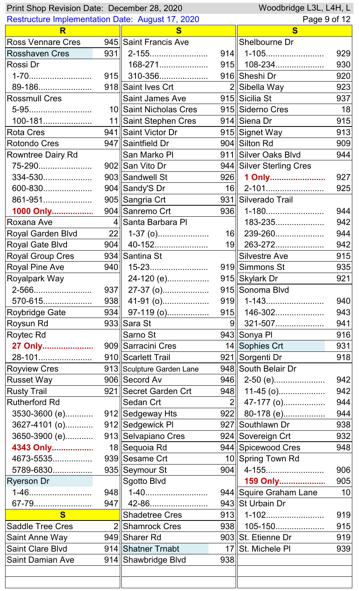| Woodbridge L3L, L4H, L<br>Print Shop Revision Date: December 28, 2020 |  |                           |     |                          |     |
|-----------------------------------------------------------------------|--|---------------------------|-----|--------------------------|-----|
| <b>Restructure Implementation Date: August 17, 2020</b>               |  |                           |     | Page 9 of 12             |     |
| R                                                                     |  | S                         |     | S                        |     |
| <b>Ross Vennare Cres</b>                                              |  | 945 Saint Francis Ave     |     | Shelbourne Dr            |     |
| <b>Rosshaven Cres</b>                                                 |  | $931$   2-155             |     | $914$   1-105            | 929 |
| Rossi Dr                                                              |  | 168-271                   |     | $915$    108-234         | 930 |
| 1-70                                                                  |  | 915 310-356               |     | 916 Sheshi Dr            | 920 |
| 89-186                                                                |  | 918 Saint Ives Crt        |     | 2 Sibella Way            | 923 |
| <b>Rossmull Cres</b>                                                  |  | Saint James Ave           |     | 915 Sicilia St           | 937 |
| 5-95                                                                  |  | 10 Saint Nicholas Cres    |     | 915 Siderno Cres         | 18  |
| 100-181                                                               |  | 11 Saint Stephen Cres     |     | 914 Siena Dr             | 915 |
| <b>Rota Cres</b>                                                      |  | 941 Saint Victor Dr       |     | 915 Signet Way           | 913 |
| Rotondo Cres                                                          |  | 947 Saintfield Dr         |     | 904 Silton Rd            | 909 |
| <b>Rowntree Dairy Rd</b>                                              |  | ∥San Marko Pl             |     | 911 Silver Oaks Blvd     | 944 |
| 75-290                                                                |  | 902 San Vito Dr           |     | 944 Silver Sterling Cres |     |
| 334-530                                                               |  | 903 Sandwell St           |     | 926 1 Only               | 927 |
| 600-830                                                               |  | 904 Sandy'S Dr            |     | $16$   2-101             | 925 |
| 861-951                                                               |  | 905 Sangria Crt           |     | 931 Silverado Trail      |     |
| 1000 Only                                                             |  | 904 Sanremo Crt           | 936 | 1-180                    | 944 |
| Roxana Ave                                                            |  | 4 Santa Barbara PI        |     | 183-235                  | 942 |
| <b>Royal Garden Blvd</b>                                              |  | $22$   1-37 (o)           |     | 16   239-260             | 944 |
| <b>Royal Gate Blvd</b>                                                |  | 904   40-152              |     | 19 263-272               | 942 |
| <b>Royal Group Cres</b>                                               |  | 934 Santina St            |     | <b>Silvestre Ave</b>     | 915 |
| Royal Pine Ave                                                        |  |                           |     | 919 Simmons St           | 935 |
| Royalpark Way                                                         |  | 24-120 (e)                |     | 915 Skylark Dr           | 921 |
| 2-566                                                                 |  | $937$   27-37 (o)         |     | 915 Sonoma Blvd          |     |
| 570-615                                                               |  |                           |     | $919$   1-143            | 940 |
| <b>Roybridge Gate</b>                                                 |  | 934 97-119 (0)            |     | 915    146-302           | 943 |
| Roysun Rd                                                             |  | 933 Sara St               |     | 9 321-507                | 941 |
| Roytec Rd                                                             |  | Sarno St                  |     | 943 Sonya Pl             | 916 |
| 27 Only                                                               |  | 909 Sarracini Cres        |     | 14 Sophies Crt           | 931 |
| 28-101                                                                |  | 910 Scarlett Trail        |     | 921 Sorgenti Dr          | 918 |
| <b>Royview Cres</b>                                                   |  | 913 Sculpture Garden Lane |     | 948 South Belair Dr      |     |
| <b>Russet Way</b>                                                     |  | 906 Secord Av             |     | $946$   2-50 (e)         | 942 |
| <b>Rusty Trail</b>                                                    |  | 921 Secret Garden Crt     |     | $948$ 11-45 (o)          | 942 |
| <b>Rutherford Rd</b>                                                  |  | Sedan Crt                 |     | $2\parallel$ 47-177 (o)  | 944 |
| 3530-3600 (e)                                                         |  | 912 Sedgeway Hts          |     | $922$ 80-178 (e)         | 944 |
| 3627-4101 (o)                                                         |  | 912 Sedgewick PI          |     | 927 Southlawn Dr         | 938 |
| 3650-3900 (e)                                                         |  | 913 Selvapiano Cres       |     | 924 Sovereign Crt        | 932 |
| 4343 Only                                                             |  | 18 Sequoia Rd             |     | 944 Spicewood Cres       | 948 |
| 4673-5535                                                             |  | 939 Sesame Crt            |     | 10 Spring Town Rd        |     |
| 5789-6830                                                             |  | 935 Seymour St            |     | 904   4-155              | 906 |
|                                                                       |  |                           |     |                          |     |
| <b>Ryerson Dr</b>                                                     |  | Sgotto Blvd               |     | 159 Only                 | 905 |
| 1-46                                                                  |  | 948   1-40                |     | 944 Squire Graham Lane   | 10  |
| 67-79                                                                 |  | 947   42-86               |     | 943 St Urbain Dr         |     |
| S                                                                     |  | <b>Shadetree Cres</b>     |     |                          | 919 |
| <b>Saddle Tree Cres</b>                                               |  | 2 Shamrock Cres           |     | 938    105-150           | 915 |
| <b>Saint Anne Way</b>                                                 |  | 949 Sharer Rd             |     | 903 St. Etienne Dr       | 919 |
| <b>Saint Clare Blvd</b>                                               |  | 914 Shatner Trnabt        |     | 17 St. Michele PI        | 939 |
| <b>Saint Damian Ave</b>                                               |  | 914 Shawbridge Blvd       | 938 |                          |     |
|                                                                       |  |                           |     |                          |     |
|                                                                       |  |                           |     |                          |     |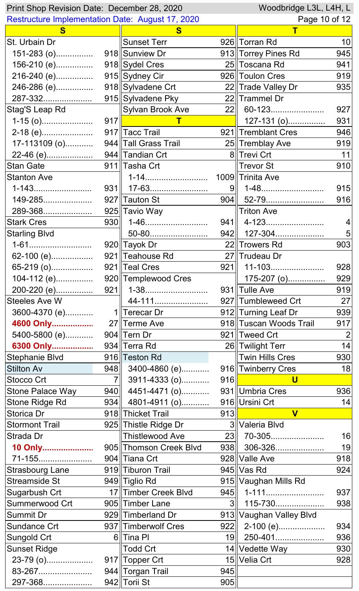| Print Shop Revision Date: December 28, 2020             |     | Woodbridge L3L, L4H, L           |                 |                                |                 |
|---------------------------------------------------------|-----|----------------------------------|-----------------|--------------------------------|-----------------|
| <b>Restructure Implementation Date: August 17, 2020</b> |     |                                  |                 | Page 10 of 12                  |                 |
| S                                                       |     | S                                |                 | Τ                              |                 |
| St. Urbain Dr                                           |     | <b>Sunset Terr</b>               |                 | 926 Torran Rd                  | 10 <sup>1</sup> |
| 151-283 (o)                                             |     | 918 Sunview Dr                   |                 | 913 Torrey Pines Rd            | 945             |
| 156-210 (e)                                             |     | 918 Sydel Cres                   |                 | 25 Toscana Rd                  | 941             |
| 216-240 (e)                                             |     | 915 Sydney Cir                   |                 | 926 Toulon Cres                | 919             |
| 246-286 (e)                                             |     | 918 Sylvadene Crt                |                 | 22 Trade Valley Dr             | 935             |
| 287-332                                                 |     | 915 Sylvadene Pky                |                 | 22 Trammel Dr                  |                 |
| Stag'S Leap Rd                                          |     | Sylvan Brook Ave                 | 22              | 60-123                         | 927             |
|                                                         | 917 |                                  |                 | $127-131$ (o)                  | 931             |
| 2-18 (e)                                                |     | 917 Tacc Trail                   |                 | 921 Tremblant Cres             | 946             |
| 17-113109 (o)                                           |     | 944 Tall Grass Trail             |                 | 25 Tremblay Ave                | 919             |
| 22-46 (e)                                               |     | 944 Tandian Crt                  |                 | 8 Trevi Crt                    | 11              |
| <b>Stan Gate</b>                                        |     | 911 Tasha Crt                    |                 | Trevor St                      | 910             |
| <b>Stanton Ave</b>                                      |     |                                  |                 | 1009 Trinita Ave               |                 |
| 1-143                                                   |     | 931   17-63                      | 9 <sub>  </sub> | 1-48                           | 915             |
| 149-285                                                 |     | 927 Tauton St                    | 904             | 52-79                          | 916             |
| 289-368                                                 |     | 925 Tavio Way                    |                 | <b>Triton Ave</b>              |                 |
| <b>Stark Cres</b>                                       | 930 | 1-46                             |                 |                                | 4               |
| <b>Starling Blvd</b>                                    |     | 50-80                            |                 | 942   127-304                  | 5               |
| 1-61                                                    |     | 920 Tayok Dr                     |                 | 22 Trowers Rd                  | 903             |
| 62-100 (e)                                              |     | 921 Teahouse Rd                  |                 | 27 Trudeau Dr                  |                 |
| 65-219 (o)                                              |     | 921 Teal Cres                    |                 | 921   11-103                   | 928             |
| 104-112 (e)                                             |     | 920 Templewood Cres              |                 | 175-207 (o)                    | 929             |
| 200-220 (e)                                             |     |                                  |                 | 931 Tulle Ave                  | 919             |
| Steeles Ave W                                           |     | 44-111                           |                 | 927 Tumbleweed Crt             | 27              |
| 3600-4370 (e)                                           |     | 1∥Terecar Dr                     |                 | 912 Turning Leaf Dr            | 939             |
| 4600 Only                                               |     | 27 Terme Ave                     |                 | 918 Tuscan Woods Trail         | 917             |
| 5400-5800 (e)                                           |     | $904$ Tern Dr                    |                 | 921 Tweed Crt                  | 2               |
|                                                         |     | 934 Terra Rd                     |                 | 26 Twilight Terr               | 14              |
| Stephanie Blvd                                          |     | 916 Teston Rd                    |                 | Twin Hills Cres                | 930             |
| <b>Stilton Av</b>                                       |     | 948 3400-4860 (e)                |                 | 916 Twinberry Cres             | 18              |
| Stocco Crt                                              |     | 7 3911-4333 (o)                  |                 | 916<br>$\overline{\mathsf{U}}$ |                 |
| <b>Stone Palace Way</b>                                 |     | $940$ 4451-4471 (o)              |                 | 931 Umbria Cres                | 936             |
| <b>Stone Ridge Rd</b>                                   |     | $934$ 4801-4911 (o)              |                 | 916 Ursini Crt                 | 14              |
| Storica Dr                                              |     | 918 Thicket Trail                | 913             | $\overline{\mathsf{V}}$        |                 |
| <b>Stormont Trail</b>                                   |     | 925 Thistle Ridge Dr             |                 | 3 Valeria Blvd                 |                 |
| Strada Dr                                               |     | Thistlewood Ave                  |                 | 23 70-305                      | 16              |
| 10 Only                                                 |     | 905  Thomson Creek Blvd          |                 | 938 306-326                    | 19              |
| 71-155                                                  |     | 904 Tiana Crt                    |                 | 928 Valle Ave                  | 918             |
| Strasbourg Lane                                         |     | 919 Tiburon Trail                |                 | 945 Vas Rd                     | 924             |
| <b>Streamside St</b>                                    |     | 949 Tiglio Rd                    |                 | 915 Vaughan Mills Rd           |                 |
| Sugarbush Crt                                           |     | 17 Timber Creek Blvd             |                 | $945$   1-111                  | 937             |
| Summerwood Crt                                          |     | 905 Timber Lane                  | $3\parallel$    | 115-730                        | 938             |
| <b>Summit Dr</b>                                        |     | 929 Timberland Dr                |                 | 913 Vaughan Valley Blvd        |                 |
|                                                         |     |                                  |                 |                                |                 |
| <b>Sundance Crt</b>                                     |     | 937 Timberwolf Cres<br>6 Tina Pl | 19              | $\overline{9}22$   2-100 (e)   | 934             |
| Sungold Crt                                             |     |                                  |                 | 250-401                        | 936             |
| <b>Sunset Ridge</b>                                     |     | <b>Todd Crt</b>                  |                 | 14 Vedette Way                 | 930             |
| 23-79 (o)                                               |     | 917  Topper Crt                  |                 | 15 Velia Crt                   | 928             |
| 83-267                                                  |     | 944 Torgan Trail                 | 945             |                                |                 |
| 297-368                                                 |     | 942 Torii St                     | 905             |                                |                 |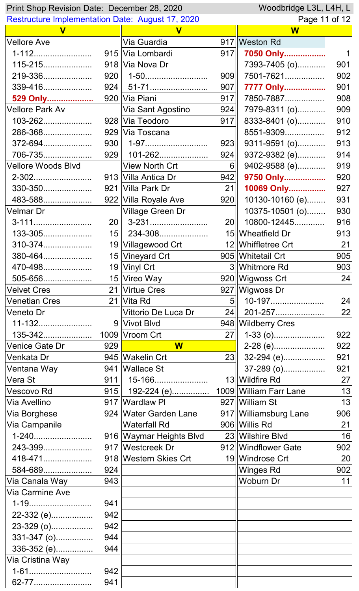| Woodbridge L3L, L4H, L<br>Print Shop Revision Date: December 28, 2020 |     |                         |                |                         |     |
|-----------------------------------------------------------------------|-----|-------------------------|----------------|-------------------------|-----|
| <b>Restructure Implementation Date: August 17, 2020</b>               |     |                         |                | Page 11 of 12           |     |
| $\mathbf v$                                                           |     |                         |                | W                       |     |
| <b>Vellore Ave</b>                                                    |     | ∥Via Guardia            |                | 917 Weston Rd           |     |
| 1-112                                                                 |     | 915 Via Lombardi        | 917            | 7050 Only               |     |
| 115-215                                                               |     | 918 Via Nova Dr         |                | 7393-7405 (o)           | 901 |
| 219-336                                                               |     | $920$    1-50           | 909            | 7501-7621               | 902 |
| 339-416                                                               |     |                         | 907            | 7777 Only               | 901 |
| 529 Only                                                              |     | 920 Via Piani           | 917            | 7850-7887               | 908 |
| Vellore Park Av                                                       |     | ∥Via Sant Agostino      | 924            | 7979-8311 (o)           | 909 |
| 103-262                                                               |     | 928 Via Teodoro         | 917            | 8333-8401 (o)           | 910 |
| 286-368                                                               |     | 929 Via Toscana         |                | 8551-9309               | 912 |
| 372-694                                                               |     | 930   1-97              | 923            | 9311-9591 (o)           | 913 |
| 706-735                                                               |     | $929$   101-262         | 924            | 9372-9382 (e)           | 914 |
| Vellore Woods Blvd                                                    |     | View North Crt          | 6 <sup>1</sup> | 9402-9588 (e)           | 919 |
| 2-302                                                                 |     | 913 Villa Antica Dr     | 942            | 9750 Only               | 920 |
| 330-350                                                               |     | 921 Villa Park Dr       | 21             | 10069 Only              | 927 |
| 483-588                                                               |     | 922 Villa Royale Ave    | 920            | 10130-10160 (e)         | 931 |
| Velmar Dr                                                             |     | ∥Village Green Dr       |                | 10375-10501 (o)         | 930 |
| 3-111                                                                 |     | $20$    3-231           | 20             | 10800-12445             | 916 |
| 133-305                                                               |     | $15$   234-308          |                | 15∥Wheatfield Dr        | 913 |
| 310-374                                                               |     | 19 Villagewood Crt      |                | 12 Whiffletree Crt      | 21  |
| 380-464                                                               |     | 15 Vineyard Crt         |                | 905 Whitetail Crt       | 905 |
| 470-498                                                               |     | 19 Vinyl Crt            |                | 3 Whitmore Rd           | 903 |
| 505-656                                                               |     | 15 Vireo Way            |                | 920 Wigwoss Crt         | 24  |
| <b>Velvet Cres</b>                                                    |     | 21 Virtue Cres          |                | 927 Wigwoss Dr          |     |
| <b>Venetian Cres</b>                                                  |     | 21 Vita Rd              |                | $5$   10-197            | 24  |
| Veneto Dr                                                             |     | Vittorio De Luca Dr     | 24             | 201-257                 | 22  |
| 11-132                                                                |     | 9 Vivot Blvd            |                | 948 Wildberry Cres      |     |
| 135-342                                                               |     | 1009 Vroom Crt          | 27             | $1-33$ (o)              | 922 |
| <b>Venice Gate Dr</b>                                                 | 929 | W                       |                | 2-28 (e)                | 922 |
| Venkata Dr                                                            |     | 945 Wakelin Crt         | 23             | $32-294$ (e)            | 921 |
| Ventana Way                                                           |     | 941 Wallace St          |                | 37-289 (o)              | 921 |
| Vera St                                                               |     | $911$    15-166         |                | 13  Wildfire Rd         | 27  |
| Vescovo Rd                                                            |     |                         |                |                         | 13  |
| Via Avellino                                                          |     | 917 Wardlaw Pl          |                | 927 William St          | 13  |
| Via Borghese                                                          |     | 924 Water Garden Lane   |                | 917   Williamsburg Lane | 906 |
| Via Campanile                                                         |     | Waterfall Rd            |                | 906 Willis Rd           | 21  |
| 1-240                                                                 |     | 916∥Waymar Heights Blvd |                | 23 Wilshire Blvd        | 16  |
| 243-399                                                               |     | 917   Westcreek Dr      |                | 912 Windflower Gate     | 902 |
| 418-471                                                               |     | 918 Western Skies Crt   |                | 19 Windrose Crt         | 20  |
| 584-689                                                               | 924 |                         |                | <b>Winges Rd</b>        | 902 |
| Via Canala Way                                                        | 943 |                         |                | <b>Woburn Dr</b>        | 11  |
| Via Carmine Ave                                                       |     |                         |                |                         |     |
|                                                                       | 941 |                         |                |                         |     |
| 22-332 (e)                                                            | 942 |                         |                |                         |     |
| 23-329 (o)                                                            | 942 |                         |                |                         |     |
| 331-347 (o)                                                           | 944 |                         |                |                         |     |
| 336-352 (e)                                                           | 944 |                         |                |                         |     |
| Via Cristina Way                                                      |     |                         |                |                         |     |
| 1-61                                                                  | 942 |                         |                |                         |     |
|                                                                       | 941 |                         |                |                         |     |
| 62-77                                                                 |     |                         |                |                         |     |